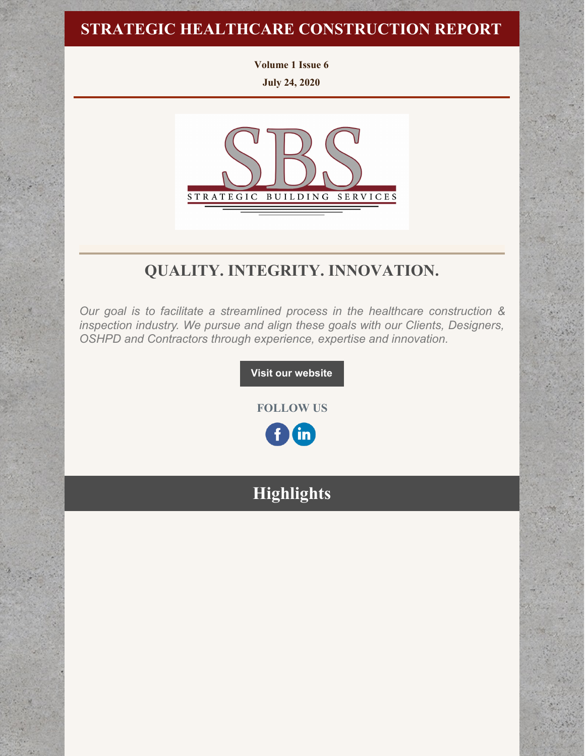# **STRATEGIC HEALTHCARE CONSTRUCTION REPORT**

**Volume 1 Issue 6 July 24, 2020**



# **QUALITY. INTEGRITY. INNOVATION.**

*Our goal is to facilitate a streamlined process in the healthcare construction & inspection industry. We pursue and align these goals with our Clients, Designers, OSHPD and Contractors through experience, expertise and innovation.*

**Visit our [website](http://www.strategic-building.com/)**

**FOLLOW US**

in)

# **Highlights**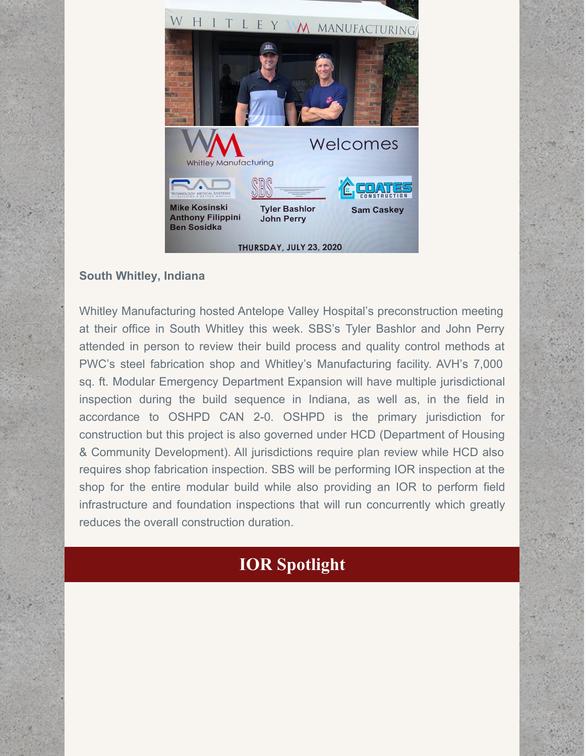

### **South Whitley, Indiana**

Whitley Manufacturing hosted Antelope Valley Hospital's preconstruction meeting at their office in South Whitley this week. SBS's Tyler Bashlor and John Perry attended in person to review their build process and quality control methods at PWC's steel fabrication shop and Whitley's Manufacturing facility. AVH's 7,000 sq. ft. Modular Emergency Department Expansion will have multiple jurisdictional inspection during the build sequence in Indiana, as well as, in the field in accordance to OSHPD CAN 2-0. OSHPD is the primary jurisdiction for construction but this project is also governed under HCD (Department of Housing & Community Development). All jurisdictions require plan review while HCD also requires shop fabrication inspection. SBS will be performing IOR inspection at the shop for the entire modular build while also providing an IOR to perform field infrastructure and foundation inspections that will run concurrently which greatly reduces the overall construction duration.

# **IOR Spotlight**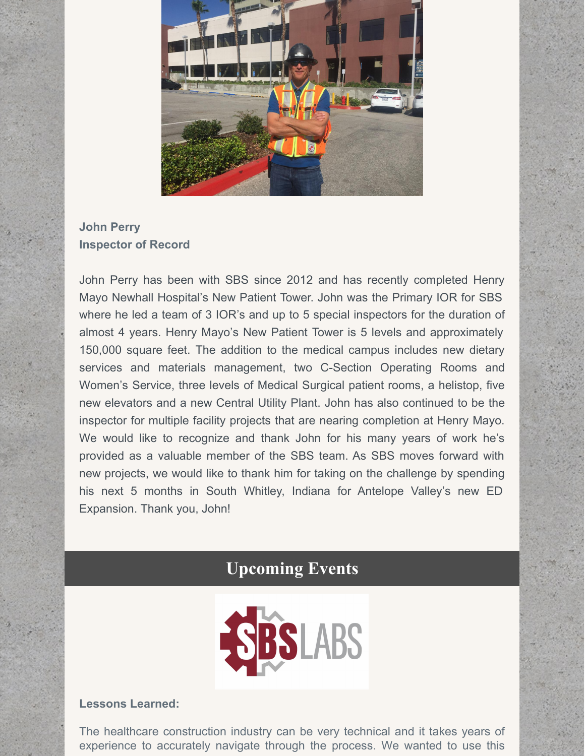

## **John Perry Inspector of Record**

John Perry has been with SBS since 2012 and has recently completed Henry Mayo Newhall Hospital's New Patient Tower. John was the Primary IOR for SBS where he led a team of 3 IOR's and up to 5 special inspectors for the duration of almost 4 years. Henry Mayo's New Patient Tower is 5 levels and approximately 150,000 square feet. The addition to the medical campus includes new dietary services and materials management, two C-Section Operating Rooms and Women's Service, three levels of Medical Surgical patient rooms, a helistop, five new elevators and a new Central Utility Plant. John has also continued to be the inspector for multiple facility projects that are nearing completion at Henry Mayo. We would like to recognize and thank John for his many years of work he's provided as a valuable member of the SBS team. As SBS moves forward with new projects, we would like to thank him for taking on the challenge by spending his next 5 months in South Whitley, Indiana for Antelope Valley's new ED Expansion. Thank you, John!

# **Upcoming Events**



#### **Lessons Learned:**

The healthcare construction industry can be very technical and it takes years of experience to accurately navigate through the process. We wanted to use this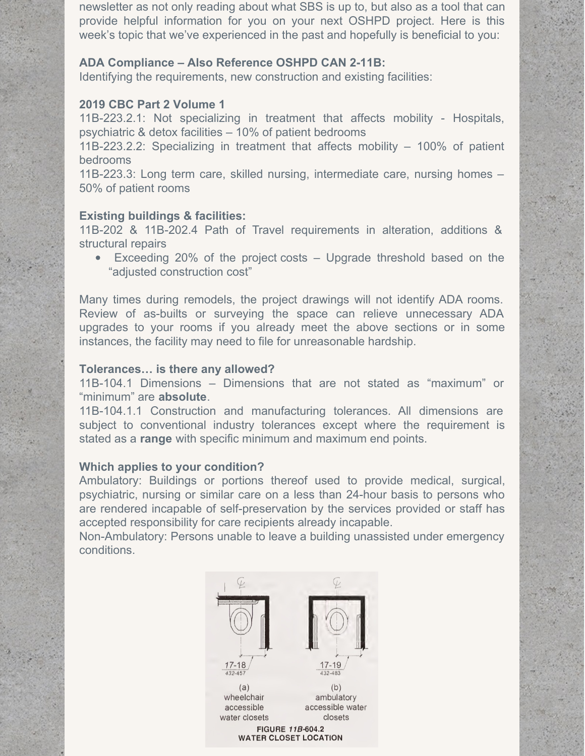newsletter as not only reading about what SBS is up to, but also as a tool that can provide helpful information for you on your next OSHPD project. Here is this week's topic that we've experienced in the past and hopefully is beneficial to you:

#### **ADA Compliance – Also Reference OSHPD CAN 2-11B:**

Identifying the requirements, new construction and existing facilities:

#### **2019 CBC Part 2 Volume 1**

11B-223.2.1: Not specializing in treatment that affects mobility - Hospitals, psychiatric & detox facilities – 10% of patient bedrooms

11B-223.2.2: Specializing in treatment that affects mobility – 100% of patient bedrooms

11B-223.3: Long term care, skilled nursing, intermediate care, nursing homes – 50% of patient rooms

#### **Existing buildings & facilities:**

11B-202 & 11B-202.4 Path of Travel requirements in alteration, additions & structural repairs

Exceeding 20% of the project costs – Upgrade threshold based on the "adjusted construction cost"

Many times during remodels, the project drawings will not identify ADA rooms. Review of as-builts or surveying the space can relieve unnecessary ADA upgrades to your rooms if you already meet the above sections or in some instances, the facility may need to file for unreasonable hardship.

#### **Tolerances… is there any allowed?**

11B-104.1 Dimensions – Dimensions that are not stated as "maximum" or "minimum" are **absolute**.

11B-104.1.1 Construction and manufacturing tolerances. All dimensions are subject to conventional industry tolerances except where the requirement is stated as a **range** with specific minimum and maximum end points.

#### **Which applies to your condition?**

Ambulatory: Buildings or portions thereof used to provide medical, surgical, psychiatric, nursing or similar care on a less than 24-hour basis to persons who are rendered incapable of self-preservation by the services provided or staff has accepted responsibility for care recipients already incapable.

Non-Ambulatory: Persons unable to leave a building unassisted under emergency conditions.

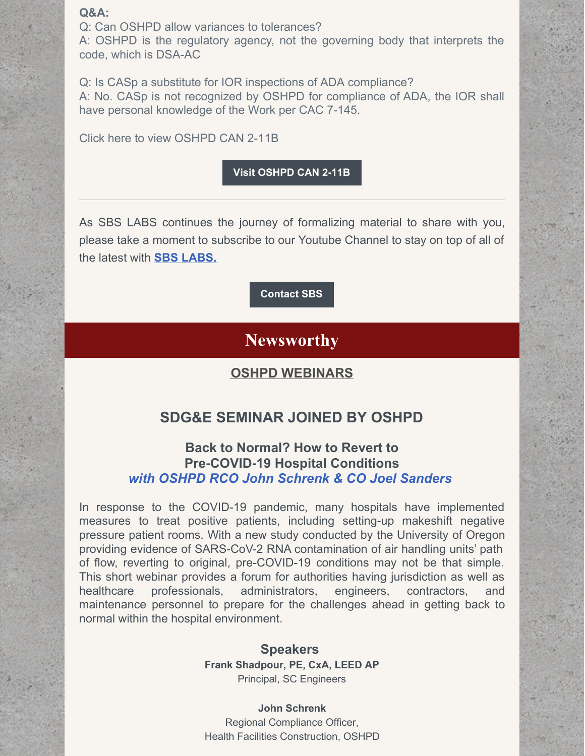#### **Q&A:**

Q: Can OSHPD allow variances to tolerances?

A: OSHPD is the regulatory agency, not the governing body that interprets the code, which is DSA-AC

Q: Is CASp a substitute for IOR inspections of ADA compliance? A: No. CASp is not recognized by OSHPD for compliance of ADA, the IOR shall have personal knowledge of the Work per CAC 7-145.

Click here to view OSHPD CAN 2-11B

#### **Visit [OSHPD](https://oshpd.ca.gov/ml/v1/resources/document?rs:path=/Construction-And-Finance/Documents/Resources/Codes-and-Regulations/Code-Application-Notices-CANs/2013/CAN-2013-Building-Code-2-11B-Accessibility-in-Health-Facilities.pdf) CAN 2-11B**

As SBS LABS continues the journey of formalizing material to share with you, please take a moment to subscribe to our Youtube Channel to stay on top of all of the latest with **SBS [LABS.](https://www.youtube.com/channel/UCfR7qiqf9X9tzNf1jD-an_Q)**

**[Contact](http://www.strategic-building.com/contacts) SBS**

## **Newsworthy**

### **OSHPD WEBINARS**

## **SDG&E SEMINAR JOINED BY OSHPD**

### **Back to Normal? How to Revert to Pre-COVID-19 Hospital Conditions** *with OSHPD RCO John Schrenk & CO Joel Sanders*

In response to the COVID-19 pandemic, many hospitals have implemented measures to treat positive patients, including setting-up makeshift negative pressure patient rooms. With a new study conducted by the University of Oregon providing evidence of SARS-CoV-2 RNA contamination of air handling units' path of flow, reverting to original, pre-COVID-19 conditions may not be that simple. This short webinar provides a forum for authorities having jurisdiction as well as healthcare professionals, administrators, engineers, contractors, and maintenance personnel to prepare for the challenges ahead in getting back to normal within the hospital environment.

> **Speakers Frank Shadpour, PE, CxA, LEED AP** Principal, SC Engineers

> **John Schrenk** Regional Compliance Officer, Health Facilities Construction, OSHPD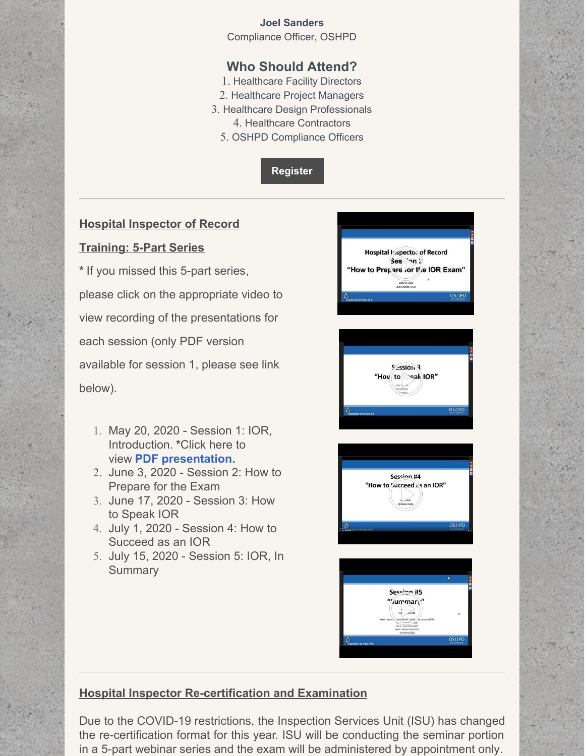#### **Joel Sanders** Compliance Officer, OSHPD

## **Who Should Attend?**

- 1. Healthcare Facility Directors
- 2. Healthcare Project Managers
- 3. Healthcare Design Professionals 4. Healthcare Contractors
	- 5. OSHPD Compliance Officers

**[Register](https://seminars.sdge.com/prod/emc00/EventSearch.htm?mid=2)**

### **Hospital Inspector of Record**

### **Training: 5-Part Series**

**\*** If you missed this 5-part series, please click on the appropriate video to view recording of the presentations for each session (only PDF version available for session 1, please see link below).

- 1. May 20, 2020 Session 1: IOR, Introduction. **\***Click here to view **PDF [presentation.](https://files.constantcontact.com/7250dab0801/352845d8-1227-43c5-a405-f015eef79259.pdf)**
- 2. June 3, 2020 Session 2: How to Prepare for the Exam
- 3. June 17, 2020 Session 3: How to Speak IOR
- 4. July 1, 2020 Session 4: How to Succeed as an IOR
- 5. July 15, 2020 Session 5: IOR, In **Summary**









## **Hospital Inspector Re-certification and Examination**

Due to the COVID-19 restrictions, the Inspection Services Unit (ISU) has changed the re-certification format for this year. ISU will be conducting the seminar portion in a 5-part webinar series and the exam will be administered by appointment only.